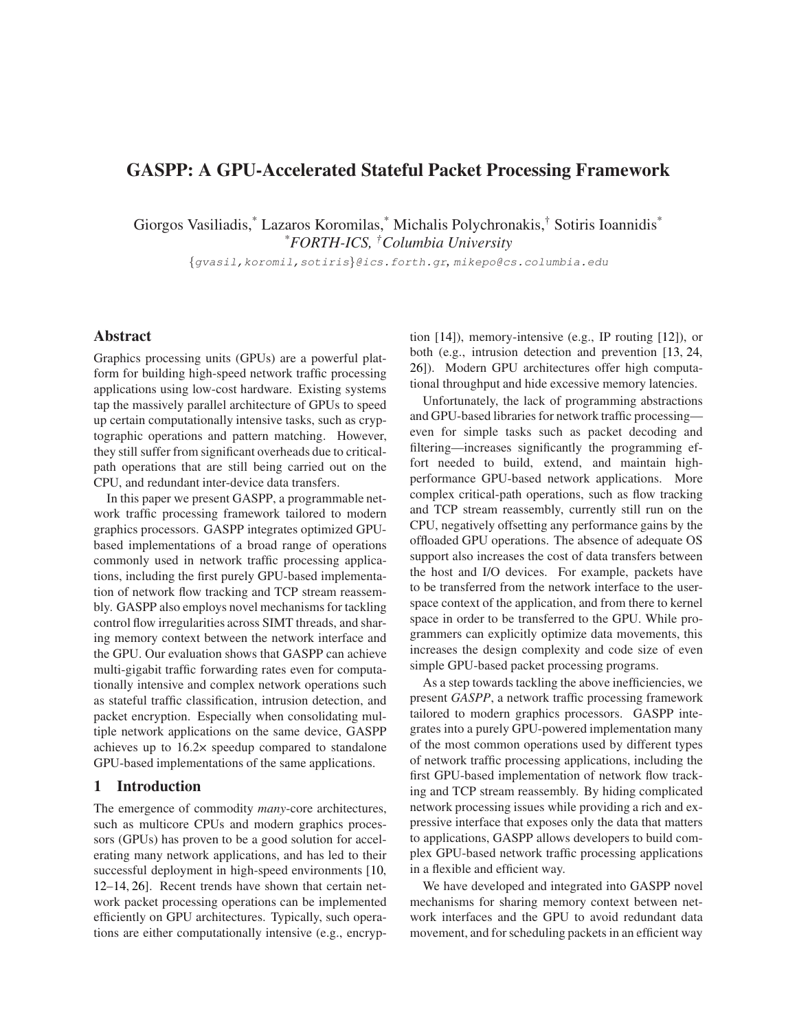# GASPP: A GPU-Accelerated Stateful Packet Processing Framework

Giorgos Vasiliadis,\* Lazaros Koromilas,\* Michalis Polychronakis,† Sotiris Ioannidis\* *\*FORTH-ICS, †Columbia University*

{gvasil,koromil,sotiris}@ics.forth.gr*,* mikepo@cs.columbia.edu

#### Abstract

Graphics processing units (GPUs) are a powerful platform for building high-speed network traffic processing applications using low-cost hardware. Existing systems tap the massively parallel architecture of GPUs to speed up certain computationally intensive tasks, such as cryptographic operations and pattern matching. However, they still suffer from significant overheads due to criticalpath operations that are still being carried out on the CPU, and redundant inter-device data transfers.

In this paper we present GASPP, a programmable network traffic processing framework tailored to modern graphics processors. GASPP integrates optimized GPUbased implementations of a broad range of operations commonly used in network traffic processing applications, including the first purely GPU-based implementation of network flow tracking and TCP stream reassembly. GASPP also employs novel mechanisms for tackling control flow irregularities across SIMT threads, and sharing memory context between the network interface and the GPU. Our evaluation shows that GASPP can achieve multi-gigabit traffic forwarding rates even for computationally intensive and complex network operations such as stateful traffic classification, intrusion detection, and packet encryption. Especially when consolidating multiple network applications on the same device, GASPP achieves up to 16.2× speedup compared to standalone GPU-based implementations of the same applications.

# 1 Introduction

The emergence of commodity *many*-core architectures, such as multicore CPUs and modern graphics processors (GPUs) has proven to be a good solution for accelerating many network applications, and has led to their successful deployment in high-speed environments [\[10,](#page-11-0) [12–](#page-11-1)[14,](#page-11-2) [26\]](#page-11-3). Recent trends have shown that certain network packet processing operations can be implemented efficiently on GPU architectures. Typically, such operations are either computationally intensive (e.g., encryption [\[14\]](#page-11-2)), memory-intensive (e.g., IP routing [\[12\]](#page-11-1)), or both (e.g., intrusion detection and prevention [\[13,](#page-11-4) [24,](#page-11-5) [26\]](#page-11-3)). Modern GPU architectures offer high computational throughput and hide excessive memory latencies.

Unfortunately, the lack of programming abstractions and GPU-based libraries for network traffic processing even for simple tasks such as packet decoding and filtering—increases significantly the programming effort needed to build, extend, and maintain highperformance GPU-based network applications. More complex critical-path operations, such as flow tracking and TCP stream reassembly, currently still run on the CPU, negatively offsetting any performance gains by the offloaded GPU operations. The absence of adequate OS support also increases the cost of data transfers between the host and I/O devices. For example, packets have to be transferred from the network interface to the userspace context of the application, and from there to kernel space in order to be transferred to the GPU. While programmers can explicitly optimize data movements, this increases the design complexity and code size of even simple GPU-based packet processing programs.

As a step towards tackling the above inefficiencies, we present *GASPP*, a network traffic processing framework tailored to modern graphics processors. GASPP integrates into a purely GPU-powered implementation many of the most common operations used by different types of network traffic processing applications, including the first GPU-based implementation of network flow tracking and TCP stream reassembly. By hiding complicated network processing issues while providing a rich and expressive interface that exposes only the data that matters to applications, GASPP allows developers to build complex GPU-based network traffic processing applications in a flexible and efficient way.

We have developed and integrated into GASPP novel mechanisms for sharing memory context between network interfaces and the GPU to avoid redundant data movement, and for scheduling packets in an efficient way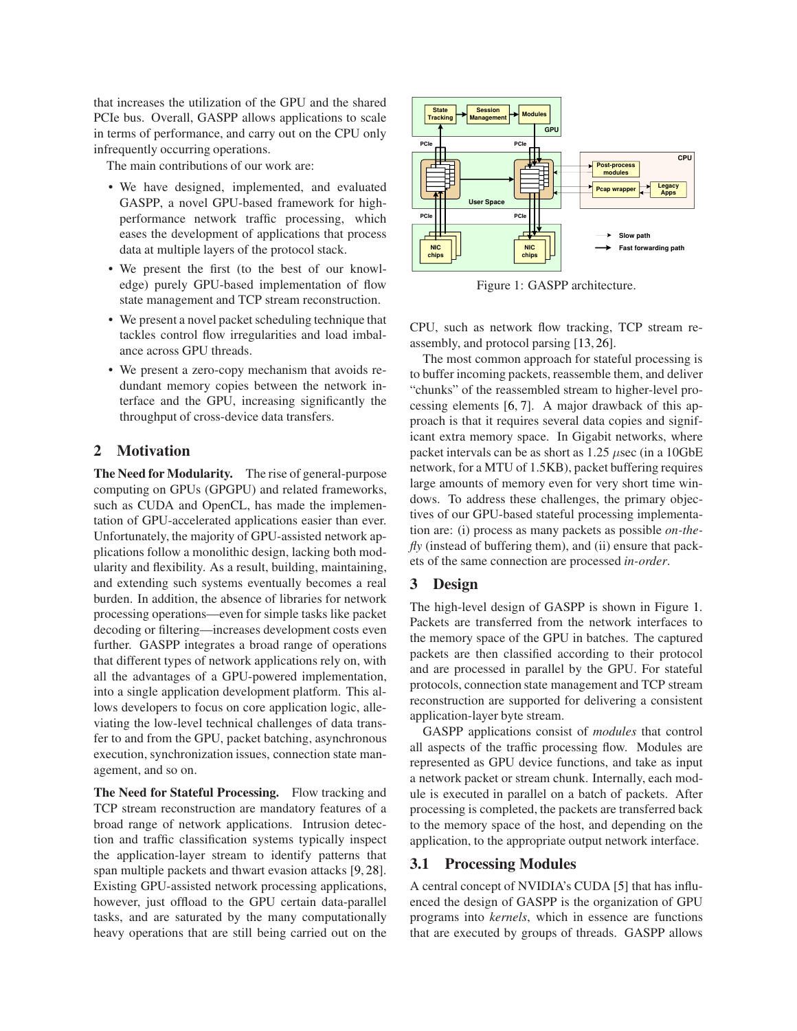that increases the utilization of the GPU and the shared PCIe bus. Overall, GASPP allows applications to scale in terms of performance, and carry out on the CPU only infrequently occurring operations.

The main contributions of our work are:

- We have designed, implemented, and evaluated GASPP, a novel GPU-based framework for highperformance network traffic processing, which eases the development of applications that process data at multiple layers of the protocol stack.
- We present the first (to the best of our knowledge) purely GPU-based implementation of flow state management and TCP stream reconstruction.
- We present a novel packet scheduling technique that tackles control flow irregularities and load imbalance across GPU threads.
- We present a zero-copy mechanism that avoids redundant memory copies between the network interface and the GPU, increasing significantly the throughput of cross-device data transfers.

# 2 Motivation

The Need for Modularity. The rise of general-purpose computing on GPUs (GPGPU) and related frameworks, such as CUDA and OpenCL, has made the implementation of GPU-accelerated applications easier than ever. Unfortunately, the majority of GPU-assisted network applications follow a monolithic design, lacking both modularity and flexibility. As a result, building, maintaining, and extending such systems eventually becomes a real burden. In addition, the absence of libraries for network processing operations—even for simple tasks like packet decoding or filtering—increases development costs even further. GASPP integrates a broad range of operations that different types of network applications rely on, with all the advantages of a GPU-powered implementation, into a single application development platform. This allows developers to focus on core application logic, alleviating the low-level technical challenges of data transfer to and from the GPU, packet batching, asynchronous execution, synchronization issues, connection state management, and so on.

The Need for Stateful Processing. Flow tracking and TCP stream reconstruction are mandatory features of a broad range of network applications. Intrusion detection and traffic classification systems typically inspect the application-layer stream to identify patterns that span multiple packets and thwart evasion attacks [\[9,](#page-11-6) [28\]](#page-11-7). Existing GPU-assisted network processing applications, however, just offload to the GPU certain data-parallel tasks, and are saturated by the many computationally heavy operations that are still being carried out on the



<span id="page-1-0"></span>Figure 1: GASPP architecture.

CPU, such as network flow tracking, TCP stream reassembly, and protocol parsing [\[13,](#page-11-4) [26\]](#page-11-3).

The most common approach for stateful processing is to buffer incoming packets, reassemble them, and deliver "chunks" of the reassembled stream to higher-level processing elements [\[6,](#page-11-8) [7\]](#page-11-9). A major drawback of this approach is that it requires several data copies and significant extra memory space. In Gigabit networks, where packet intervals can be as short as  $1.25 \mu$ sec (in a 10GbE network, for a MTU of 1.5KB), packet buffering requires large amounts of memory even for very short time windows. To address these challenges, the primary objectives of our GPU-based stateful processing implementation are: (i) process as many packets as possible *on-thefly* (instead of buffering them), and (ii) ensure that packets of the same connection are processed *in-order*.

### 3 Design

The high-level design of GASPP is shown in Figure [1.](#page-1-0) Packets are transferred from the network interfaces to the memory space of the GPU in batches. The captured packets are then classified according to their protocol and are processed in parallel by the GPU. For stateful protocols, connection state management and TCP stream reconstruction are supported for delivering a consistent application-layer byte stream.

GASPP applications consist of *modules* that control all aspects of the traffic processing flow. Modules are represented as GPU device functions, and take as input a network packet or stream chunk. Internally, each module is executed in parallel on a batch of packets. After processing is completed, the packets are transferred back to the memory space of the host, and depending on the application, to the appropriate output network interface.

# 3.1 Processing Modules

A central concept of NVIDIA's CUDA [\[5\]](#page-11-10) that has influenced the design of GASPP is the organization of GPU programs into *kernels*, which in essence are functions that are executed by groups of threads. GASPP allows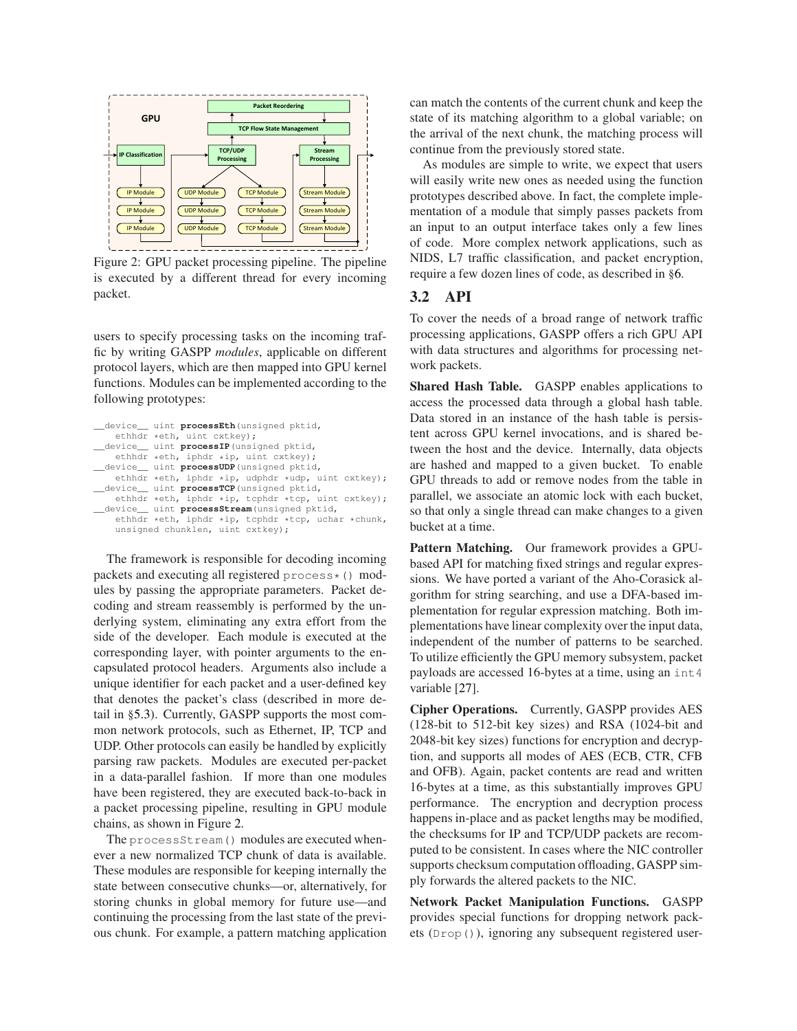

<span id="page-2-0"></span>Figure 2: GPU packet processing pipeline. The pipeline is executed by a different thread for every incoming packet.

users to specify processing tasks on the incoming traffic by writing GASPP *modules*, applicable on different protocol layers, which are then mapped into GPU kernel functions. Modules can be implemented according to the following prototypes:

```
__device__ uint processEth(unsigned pktid,
   ethhdr *eth, uint cxtkey);
 __device__ uint processIP(unsigned pktid,
   ethhdr *eth, iphdr *ip, uint cxtkey);
 __device__ uint processUDP(unsigned pktid,
   ethhdr *eth, iphdr *ip, udphdr *udp, uint cxtkey);
__device__ uint processTCP(unsigned pktid,
    ethhdr *eth, iphdr *ip, tcphdr *tcp, uint cxtkey);
__device__ uint processStream(unsigned pktid,
   ethhdr *eth, iphdr *ip, tcphdr *tcp, uchar *chunk,
   unsigned chunklen, uint cxtkey);
```
The framework is responsible for decoding incoming packets and executing all registered process\*() modules by passing the appropriate parameters. Packet decoding and stream reassembly is performed by the underlying system, eliminating any extra effort from the side of the developer. Each module is executed at the corresponding layer, with pointer arguments to the encapsulated protocol headers. Arguments also include a unique identifier for each packet and a user-defined key that denotes the packet's class (described in more detail in §[5.3\)](#page-5-0). Currently, GASPP supports the most common network protocols, such as Ethernet, IP, TCP and UDP. Other protocols can easily be handled by explicitly parsing raw packets. Modules are executed per-packet in a data-parallel fashion. If more than one modules have been registered, they are executed back-to-back in a packet processing pipeline, resulting in GPU module chains, as shown in Figure [2.](#page-2-0)

The processStream() modules are executed whenever a new normalized TCP chunk of data is available. These modules are responsible for keeping internally the state between consecutive chunks—or, alternatively, for storing chunks in global memory for future use—and continuing the processing from the last state of the previous chunk. For example, a pattern matching application can match the contents of the current chunk and keep the state of its matching algorithm to a global variable; on the arrival of the next chunk, the matching process will continue from the previously stored state.

As modules are simple to write, we expect that users will easily write new ones as needed using the function prototypes described above. In fact, the complete implementation of a module that simply passes packets from an input to an output interface takes only a few lines of code. More complex network applications, such as NIDS, L7 traffic classification, and packet encryption, require a few dozen lines of code, as described in §[6.](#page-6-0)

# <span id="page-2-1"></span>3.2 API

To cover the needs of a broad range of network traffic processing applications, GASPP offers a rich GPU API with data structures and algorithms for processing network packets.

Shared Hash Table. GASPP enables applications to access the processed data through a global hash table. Data stored in an instance of the hash table is persistent across GPU kernel invocations, and is shared between the host and the device. Internally, data objects are hashed and mapped to a given bucket. To enable GPU threads to add or remove nodes from the table in parallel, we associate an atomic lock with each bucket, so that only a single thread can make changes to a given bucket at a time.

Pattern Matching. Our framework provides a GPUbased API for matching fixed strings and regular expressions. We have ported a variant of the Aho-Corasick algorithm for string searching, and use a DFA-based implementation for regular expression matching. Both implementations have linear complexity over the input data, independent of the number of patterns to be searched. To utilize efficiently the GPU memory subsystem, packet payloads are accessed 16-bytes at a time, using an int4 variable [\[27\]](#page-11-11).

Cipher Operations. Currently, GASPP provides AES (128-bit to 512-bit key sizes) and RSA (1024-bit and 2048-bit key sizes) functions for encryption and decryption, and supports all modes of AES (ECB, CTR, CFB and OFB). Again, packet contents are read and written 16-bytes at a time, as this substantially improves GPU performance. The encryption and decryption process happens in-place and as packet lengths may be modified, the checksums for IP and TCP/UDP packets are recomputed to be consistent. In cases where the NIC controller supports checksum computation offloading, GASPP simply forwards the altered packets to the NIC.

Network Packet Manipulation Functions. GASPP provides special functions for dropping network packets (Drop()), ignoring any subsequent registered user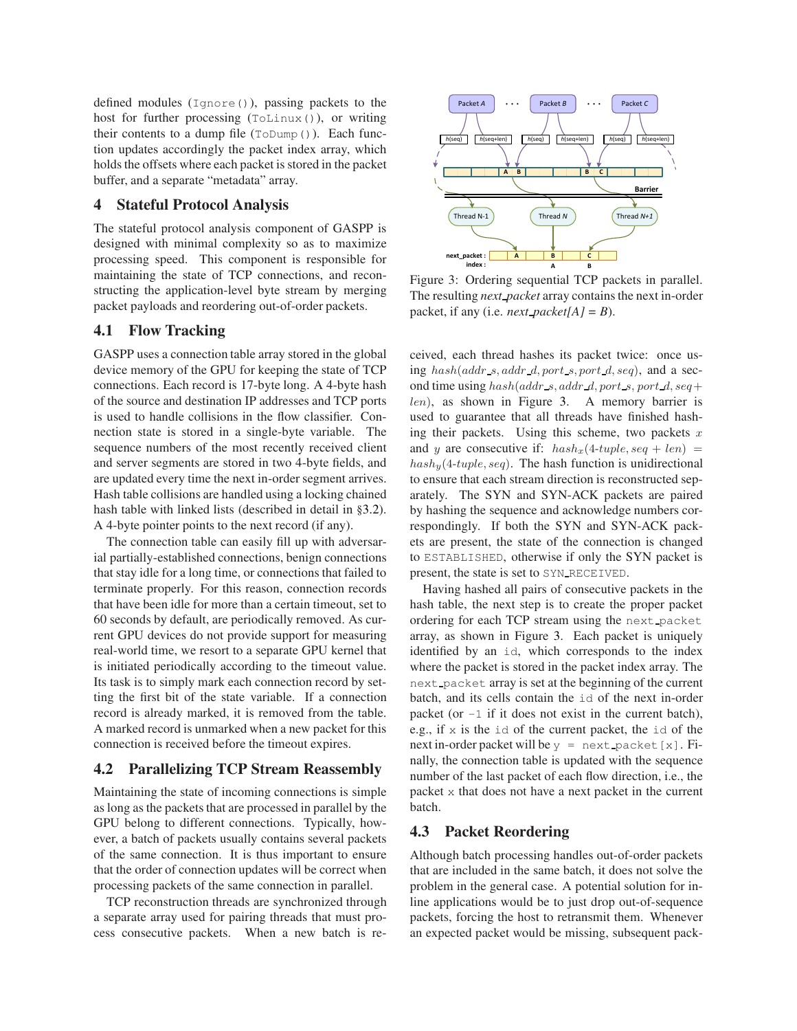defined modules  $(Iqnore())$ , passing packets to the host for further processing (ToLinux()), or writing their contents to a dump file  $(ToDump()$ ). Each function updates accordingly the packet index array, which holds the offsets where each packet is stored in the packet buffer, and a separate "metadata" array.

#### 4 Stateful Protocol Analysis

The stateful protocol analysis component of GASPP is designed with minimal complexity so as to maximize processing speed. This component is responsible for maintaining the state of TCP connections, and reconstructing the application-level byte stream by merging packet payloads and reordering out-of-order packets.

### 4.1 Flow Tracking

GASPP uses a connection table array stored in the global device memory of the GPU for keeping the state of TCP connections. Each record is 17-byte long. A 4-byte hash of the source and destination IP addresses and TCP ports is used to handle collisions in the flow classifier. Connection state is stored in a single-byte variable. The sequence numbers of the most recently received client and server segments are stored in two 4-byte fields, and are updated every time the next in-order segment arrives. Hash table collisions are handled using a locking chained hash table with linked lists (described in detail in §[3.2\)](#page-2-1). A 4-byte pointer points to the next record (if any).

The connection table can easily fill up with adversarial partially-established connections, benign connections that stay idle for a long time, or connections that failed to terminate properly. For this reason, connection records that have been idle for more than a certain timeout, set to 60 seconds by default, are periodically removed. As current GPU devices do not provide support for measuring real-world time, we resort to a separate GPU kernel that is initiated periodically according to the timeout value. Its task is to simply mark each connection record by setting the first bit of the state variable. If a connection record is already marked, it is removed from the table. A marked record is unmarked when a new packet for this connection is received before the timeout expires.

#### <span id="page-3-1"></span>4.2 Parallelizing TCP Stream Reassembly

Maintaining the state of incoming connections is simple as long as the packets that are processed in parallel by the GPU belong to different connections. Typically, however, a batch of packets usually contains several packets of the same connection. It is thus important to ensure that the order of connection updates will be correct when processing packets of the same connection in parallel.

TCP reconstruction threads are synchronized through a separate array used for pairing threads that must process consecutive packets. When a new batch is re-



<span id="page-3-0"></span>Figure 3: Ordering sequential TCP packets in parallel. The resulting *next packet* array contains the next in-order packet, if any (i.e. *next\_packet*[ $A$ ] =  $B$ ).

ceived, each thread hashes its packet twice: once using  $hash(addr_s,addr_d, port_s, port_d, seq),$  and a second time using  $hash(addr_s, addr_d, port_s, port_d, seq+)$ len), as shown in Figure [3.](#page-3-0) A memory barrier is used to guarantee that all threads have finished hashing their packets. Using this scheme, two packets  $x$ and y are consecutive if:  $hash_x(4-tuple, seq + len)$  =  $hash_{y}(4-tuple, seq)$ . The hash function is unidirectional to ensure that each stream direction is reconstructed separately. The SYN and SYN-ACK packets are paired by hashing the sequence and acknowledge numbers correspondingly. If both the SYN and SYN-ACK packets are present, the state of the connection is changed to ESTABLISHED, otherwise if only the SYN packet is present, the state is set to SYN RECEIVED.

Having hashed all pairs of consecutive packets in the hash table, the next step is to create the proper packet ordering for each TCP stream using the next packet array, as shown in Figure [3.](#page-3-0) Each packet is uniquely identified by an id, which corresponds to the index where the packet is stored in the packet index array. The next packet array is set at the beginning of the current batch, and its cells contain the id of the next in-order packet (or  $-1$  if it does not exist in the current batch), e.g., if  $x$  is the id of the current packet, the id of the next in-order packet will be  $y =$  next packet [x]. Finally, the connection table is updated with the sequence number of the last packet of each flow direction, i.e., the packet x that does not have a next packet in the current batch.

# 4.3 Packet Reordering

Although batch processing handles out-of-order packets that are included in the same batch, it does not solve the problem in the general case. A potential solution for inline applications would be to just drop out-of-sequence packets, forcing the host to retransmit them. Whenever an expected packet would be missing, subsequent pack-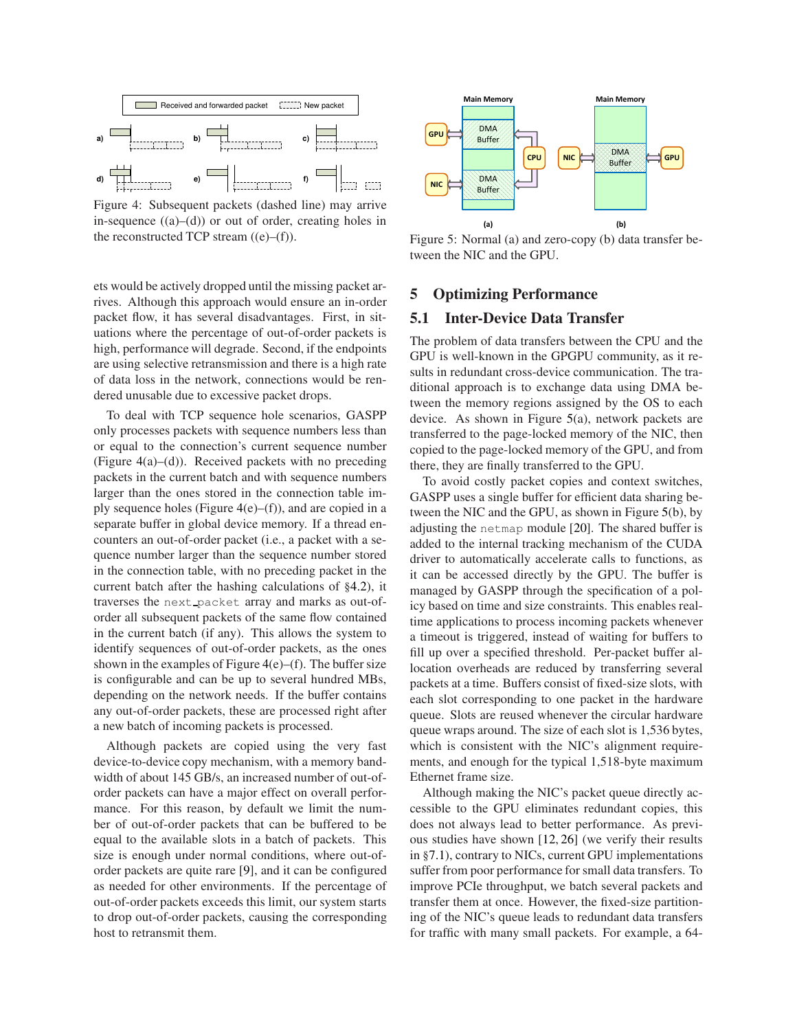

<span id="page-4-0"></span>Figure 4: Subsequent packets (dashed line) may arrive in-sequence  $((a)–(d))$  or out of order, creating holes in the reconstructed TCP stream  $((e)–(f))$ .

ets would be actively dropped until the missing packet arrives. Although this approach would ensure an in-order packet flow, it has several disadvantages. First, in situations where the percentage of out-of-order packets is high, performance will degrade. Second, if the endpoints are using selective retransmission and there is a high rate of data loss in the network, connections would be rendered unusable due to excessive packet drops.

To deal with TCP sequence hole scenarios, GASPP only processes packets with sequence numbers less than or equal to the connection's current sequence number (Figure [4\(](#page-4-0)a)–(d)). Received packets with no preceding packets in the current batch and with sequence numbers larger than the ones stored in the connection table imply sequence holes (Figure  $4(e)$  $4(e)$ –(f)), and are copied in a separate buffer in global device memory. If a thread encounters an out-of-order packet (i.e., a packet with a sequence number larger than the sequence number stored in the connection table, with no preceding packet in the current batch after the hashing calculations of §[4.2\)](#page-3-1), it traverses the next packet array and marks as out-oforder all subsequent packets of the same flow contained in the current batch (if any). This allows the system to identify sequences of out-of-order packets, as the ones shown in the examples of Figure  $4(e)$  $4(e)$ –(f). The buffer size is configurable and can be up to several hundred MBs, depending on the network needs. If the buffer contains any out-of-order packets, these are processed right after a new batch of incoming packets is processed.

Although packets are copied using the very fast device-to-device copy mechanism, with a memory bandwidth of about 145 GB/s, an increased number of out-oforder packets can have a major effect on overall performance. For this reason, by default we limit the number of out-of-order packets that can be buffered to be equal to the available slots in a batch of packets. This size is enough under normal conditions, where out-oforder packets are quite rare [\[9\]](#page-11-6), and it can be configured as needed for other environments. If the percentage of out-of-order packets exceeds this limit, our system starts to drop out-of-order packets, causing the corresponding host to retransmit them.



<span id="page-4-1"></span>Figure 5: Normal (a) and zero-copy (b) data transfer between the NIC and the GPU.

#### 5 Optimizing Performance

#### 5.1 Inter-Device Data Transfer

The problem of data transfers between the CPU and the GPU is well-known in the GPGPU community, as it results in redundant cross-device communication. The traditional approach is to exchange data using DMA between the memory regions assigned by the OS to each device. As shown in Figure [5\(](#page-4-1)a), network packets are transferred to the page-locked memory of the NIC, then copied to the page-locked memory of the GPU, and from there, they are finally transferred to the GPU.

To avoid costly packet copies and context switches, GASPP uses a single buffer for efficient data sharing between the NIC and the GPU, as shown in Figure [5\(](#page-4-1)b), by adjusting the netmap module [\[20\]](#page-11-12). The shared buffer is added to the internal tracking mechanism of the CUDA driver to automatically accelerate calls to functions, as it can be accessed directly by the GPU. The buffer is managed by GASPP through the specification of a policy based on time and size constraints. This enables realtime applications to process incoming packets whenever a timeout is triggered, instead of waiting for buffers to fill up over a specified threshold. Per-packet buffer allocation overheads are reduced by transferring several packets at a time. Buffers consist of fixed-size slots, with each slot corresponding to one packet in the hardware queue. Slots are reused whenever the circular hardware queue wraps around. The size of each slot is 1,536 bytes, which is consistent with the NIC's alignment requirements, and enough for the typical 1,518-byte maximum Ethernet frame size.

Although making the NIC's packet queue directly accessible to the GPU eliminates redundant copies, this does not always lead to better performance. As previous studies have shown [\[12,](#page-11-1) [26\]](#page-11-3) (we verify their results in §[7.1\)](#page-6-1), contrary to NICs, current GPU implementations suffer from poor performance for small data transfers. To improve PCIe throughput, we batch several packets and transfer them at once. However, the fixed-size partitioning of the NIC's queue leads to redundant data transfers for traffic with many small packets. For example, a 64-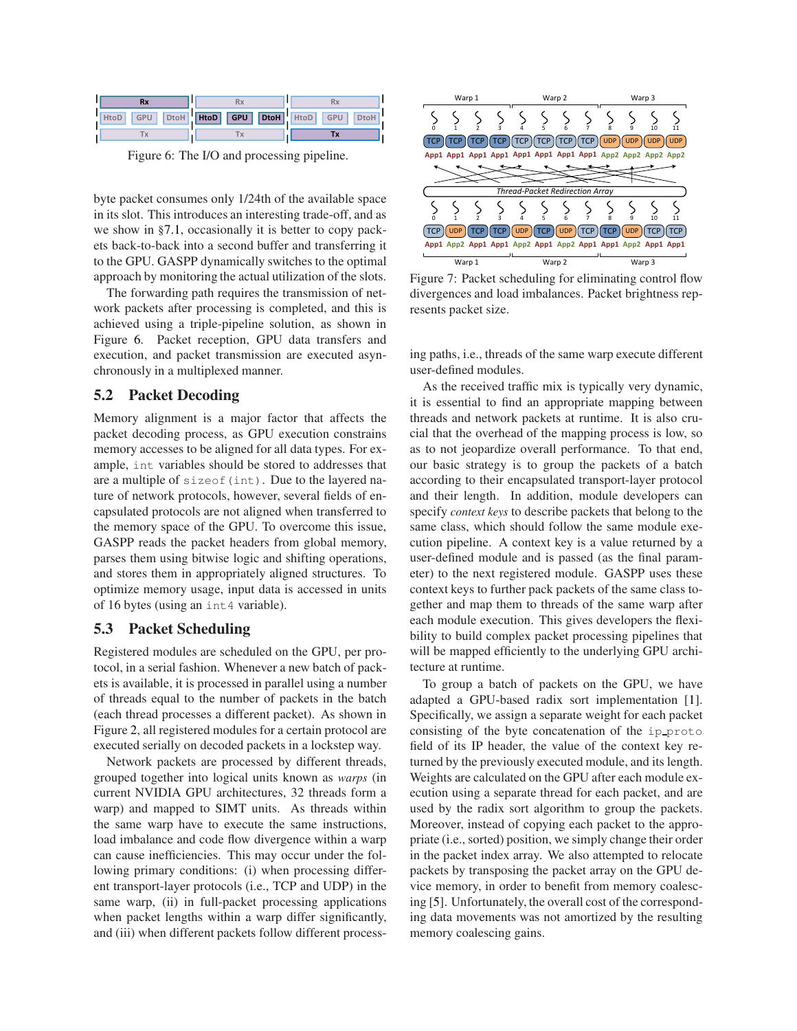

<span id="page-5-1"></span>Figure 6: The I/O and processing pipeline.

byte packet consumes only 1/24th of the available space in its slot. This introduces an interesting trade-off, and as we show in §[7.1,](#page-6-1) occasionally it is better to copy packets back-to-back into a second buffer and transferring it to the GPU. GASPP dynamically switches to the optimal approach by monitoring the actual utilization of the slots.

The forwarding path requires the transmission of network packets after processing is completed, and this is achieved using a triple-pipeline solution, as shown in Figure [6.](#page-5-1) Packet reception, GPU data transfers and execution, and packet transmission are executed asynchronously in a multiplexed manner.

# <span id="page-5-3"></span>5.2 Packet Decoding

Memory alignment is a major factor that affects the packet decoding process, as GPU execution constrains memory accesses to be aligned for all data types. For example, int variables should be stored to addresses that are a multiple of sizeof(int). Due to the layered nature of network protocols, however, several fields of encapsulated protocols are not aligned when transferred to the memory space of the GPU. To overcome this issue, GASPP reads the packet headers from global memory, parses them using bitwise logic and shifting operations, and stores them in appropriately aligned structures. To optimize memory usage, input data is accessed in units of 16 bytes (using an int4 variable).

# <span id="page-5-0"></span>5.3 Packet Scheduling

Registered modules are scheduled on the GPU, per protocol, in a serial fashion. Whenever a new batch of packets is available, it is processed in parallel using a number of threads equal to the number of packets in the batch (each thread processes a different packet). As shown in Figure [2,](#page-2-0) all registered modules for a certain protocol are executed serially on decoded packets in a lockstep way.

Network packets are processed by different threads, grouped together into logical units known as *warps* (in current NVIDIA GPU architectures, 32 threads form a warp) and mapped to SIMT units. As threads within the same warp have to execute the same instructions, load imbalance and code flow divergence within a warp can cause inefficiencies. This may occur under the following primary conditions: (i) when processing different transport-layer protocols (i.e., TCP and UDP) in the same warp, (ii) in full-packet processing applications when packet lengths within a warp differ significantly, and (iii) when different packets follow different process-



<span id="page-5-2"></span>Figure 7: Packet scheduling for eliminating control flow divergences and load imbalances. Packet brightness represents packet size.

ing paths, i.e., threads of the same warp execute different user-defined modules.

As the received traffic mix is typically very dynamic, it is essential to find an appropriate mapping between threads and network packets at runtime. It is also crucial that the overhead of the mapping process is low, so as to not jeopardize overall performance. To that end, our basic strategy is to group the packets of a batch according to their encapsulated transport-layer protocol and their length. In addition, module developers can specify *context keys* to describe packets that belong to the same class, which should follow the same module execution pipeline. A context key is a value returned by a user-defined module and is passed (as the final parameter) to the next registered module. GASPP uses these context keys to further pack packets of the same class together and map them to threads of the same warp after each module execution. This gives developers the flexibility to build complex packet processing pipelines that will be mapped efficiently to the underlying GPU architecture at runtime.

To group a batch of packets on the GPU, we have adapted a GPU-based radix sort implementation [\[1\]](#page-11-13). Specifically, we assign a separate weight for each packet consisting of the byte concatenation of the ip proto field of its IP header, the value of the context key returned by the previously executed module, and its length. Weights are calculated on the GPU after each module execution using a separate thread for each packet, and are used by the radix sort algorithm to group the packets. Moreover, instead of copying each packet to the appropriate (i.e., sorted) position, we simply change their order in the packet index array. We also attempted to relocate packets by transposing the packet array on the GPU device memory, in order to benefit from memory coalescing [\[5\]](#page-11-10). Unfortunately, the overall cost of the corresponding data movements was not amortized by the resulting memory coalescing gains.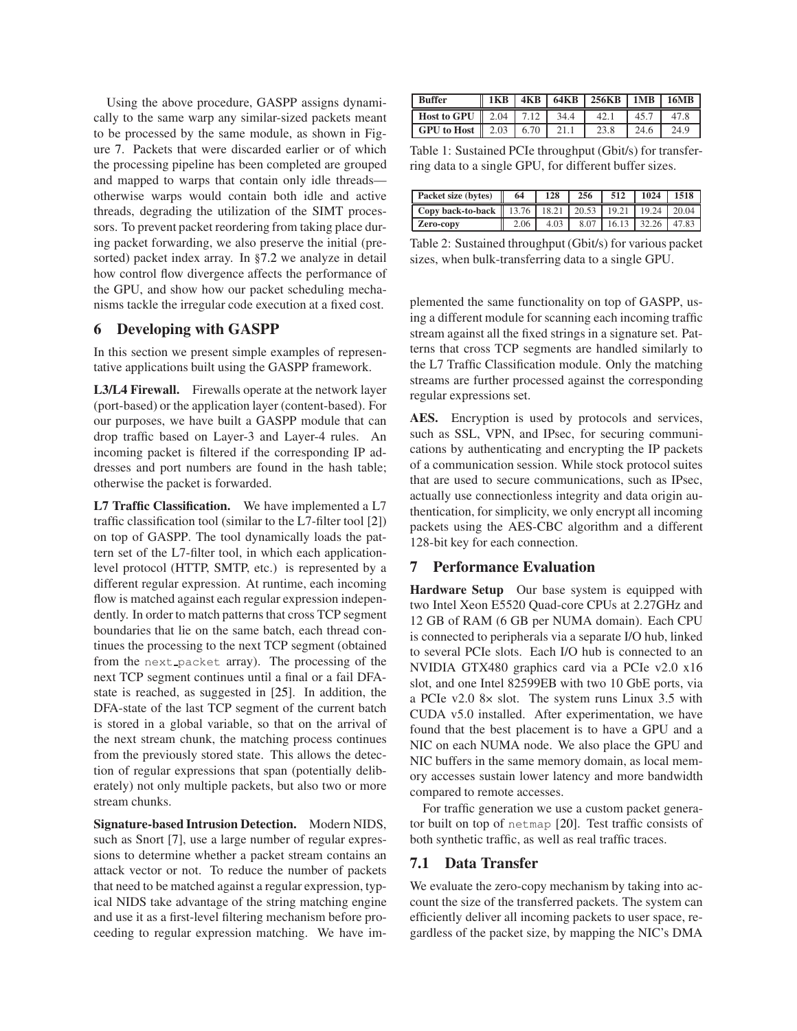Using the above procedure, GASPP assigns dynamically to the same warp any similar-sized packets meant to be processed by the same module, as shown in Figure [7.](#page-5-2) Packets that were discarded earlier or of which the processing pipeline has been completed are grouped and mapped to warps that contain only idle threads otherwise warps would contain both idle and active threads, degrading the utilization of the SIMT processors. To prevent packet reordering from taking place during packet forwarding, we also preserve the initial (presorted) packet index array. In §[7.2](#page-7-0) we analyze in detail how control flow divergence affects the performance of the GPU, and show how our packet scheduling mechanisms tackle the irregular code execution at a fixed cost.

#### <span id="page-6-0"></span>6 Developing with GASPP

In this section we present simple examples of representative applications built using the GASPP framework.

L3/L4 Firewall. Firewalls operate at the network layer (port-based) or the application layer (content-based). For our purposes, we have built a GASPP module that can drop traffic based on Layer-3 and Layer-4 rules. An incoming packet is filtered if the corresponding IP addresses and port numbers are found in the hash table; otherwise the packet is forwarded.

L7 Traffic Classification. We have implemented a L7 traffic classification tool (similar to the L7-filter tool [\[2\]](#page-11-14)) on top of GASPP. The tool dynamically loads the pattern set of the L7-filter tool, in which each applicationlevel protocol (HTTP, SMTP, etc.) is represented by a different regular expression. At runtime, each incoming flow is matched against each regular expression independently. In order to match patterns that cross TCP segment boundaries that lie on the same batch, each thread continues the processing to the next TCP segment (obtained from the next packet array). The processing of the next TCP segment continues until a final or a fail DFAstate is reached, as suggested in [\[25\]](#page-11-15). In addition, the DFA-state of the last TCP segment of the current batch is stored in a global variable, so that on the arrival of the next stream chunk, the matching process continues from the previously stored state. This allows the detection of regular expressions that span (potentially deliberately) not only multiple packets, but also two or more stream chunks.

Signature-based Intrusion Detection. Modern NIDS, such as Snort [\[7\]](#page-11-9), use a large number of regular expressions to determine whether a packet stream contains an attack vector or not. To reduce the number of packets that need to be matched against a regular expression, typical NIDS take advantage of the string matching engine and use it as a first-level filtering mechanism before proceeding to regular expression matching. We have im-

| <b>Buffer</b>                                        | 1KB | 4KB |       | $64KB$   256KB   1MB   16MB |      |                 |
|------------------------------------------------------|-----|-----|-------|-----------------------------|------|-----------------|
| <b>Host to GPU</b> 2.04 $\mid$ 7.12                  |     |     | 34.4  | 42.1                        | 45.7 |                 |
| <b>GPU to Host</b> $\parallel$ 2.03 $\parallel$ 6.70 |     |     | 2.1.1 | 23.8                        | 24.6 | 24 <sup>9</sup> |

<span id="page-6-2"></span>Table 1: Sustained PCIe throughput (Gbit/s) for transferring data to a single GPU, for different buffer sizes.

| Packet size (bytes)                       | 64   | 128  | 256  | 512   | 1024  | 1518  |
|-------------------------------------------|------|------|------|-------|-------|-------|
| Copy back-to-back   13.76   18.21   20.53 |      |      |      | 19.21 | 19.24 | 20.04 |
| Zero-copy                                 | 2.06 | 4.03 | 8.07 | 16.13 | 32.26 | 47.83 |

<span id="page-6-3"></span>Table 2: Sustained throughput (Gbit/s) for various packet sizes, when bulk-transferring data to a single GPU.

plemented the same functionality on top of GASPP, using a different module for scanning each incoming traffic stream against all the fixed strings in a signature set. Patterns that cross TCP segments are handled similarly to the L7 Traffic Classification module. Only the matching streams are further processed against the corresponding regular expressions set.

AES. Encryption is used by protocols and services, such as SSL, VPN, and IPsec, for securing communications by authenticating and encrypting the IP packets of a communication session. While stock protocol suites that are used to secure communications, such as IPsec, actually use connectionless integrity and data origin authentication, for simplicity, we only encrypt all incoming packets using the AES-CBC algorithm and a different 128-bit key for each connection.

#### 7 Performance Evaluation

Hardware Setup Our base system is equipped with two Intel Xeon E5520 Quad-core CPUs at 2.27GHz and 12 GB of RAM (6 GB per NUMA domain). Each CPU is connected to peripherals via a separate I/O hub, linked to several PCIe slots. Each I/O hub is connected to an NVIDIA GTX480 graphics card via a PCIe v2.0 x16 slot, and one Intel 82599EB with two 10 GbE ports, via a PCIe v2.0 8× slot. The system runs Linux 3.5 with CUDA v5.0 installed. After experimentation, we have found that the best placement is to have a GPU and a NIC on each NUMA node. We also place the GPU and NIC buffers in the same memory domain, as local memory accesses sustain lower latency and more bandwidth compared to remote accesses.

For traffic generation we use a custom packet generator built on top of netmap [\[20\]](#page-11-12). Test traffic consists of both synthetic traffic, as well as real traffic traces.

#### <span id="page-6-1"></span>7.1 Data Transfer

We evaluate the zero-copy mechanism by taking into account the size of the transferred packets. The system can efficiently deliver all incoming packets to user space, regardless of the packet size, by mapping the NIC's DMA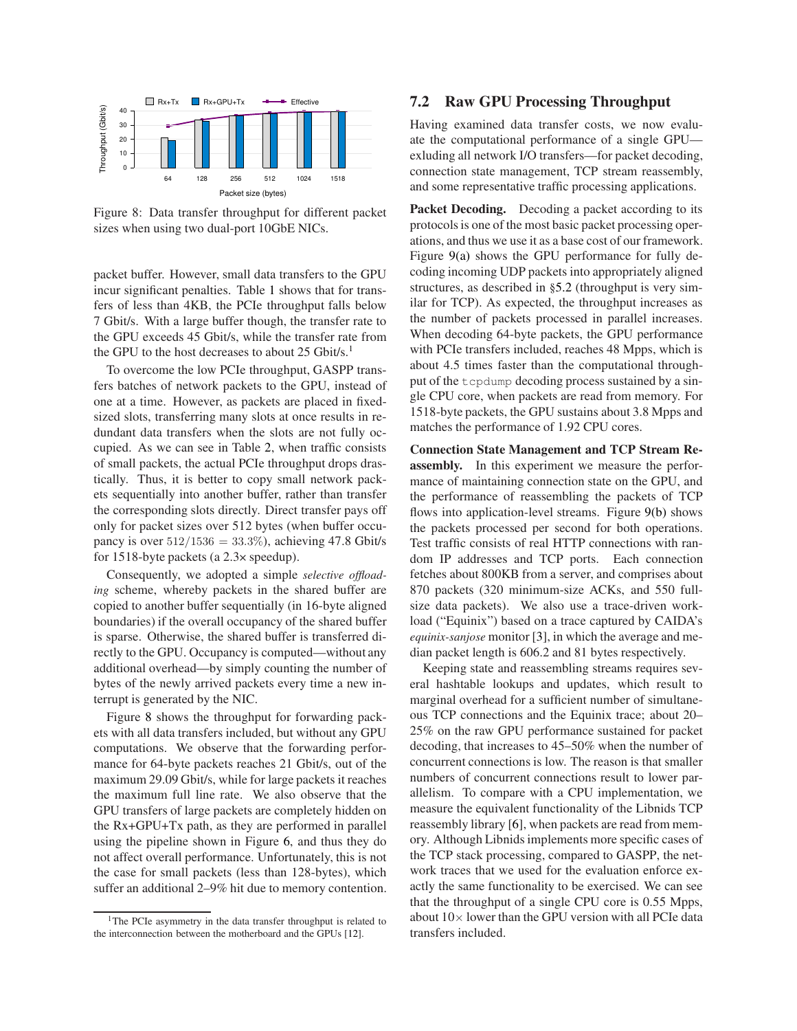

<span id="page-7-2"></span>Figure 8: Data transfer throughput for different packet sizes when using two dual-port 10GbE NICs.

packet buffer. However, small data transfers to the GPU incur significant penalties. Table [1](#page-6-2) shows that for transfers of less than 4KB, the PCIe throughput falls below 7 Gbit/s. With a large buffer though, the transfer rate to the GPU exceeds 45 Gbit/s, while the transfer rate from the GPU to the host decreases to about  $25$  Gbit/s.<sup>[1](#page-7-1)</sup>

To overcome the low PCIe throughput, GASPP transfers batches of network packets to the GPU, instead of one at a time. However, as packets are placed in fixedsized slots, transferring many slots at once results in redundant data transfers when the slots are not fully occupied. As we can see in Table [2,](#page-6-3) when traffic consists of small packets, the actual PCIe throughput drops drastically. Thus, it is better to copy small network packets sequentially into another buffer, rather than transfer the corresponding slots directly. Direct transfer pays off only for packet sizes over 512 bytes (when buffer occupancy is over  $512/1536 = 33.3\%$ ), achieving 47.8 Gbit/s for 1518-byte packets (a 2.3× speedup).

Consequently, we adopted a simple *selective offloading* scheme, whereby packets in the shared buffer are copied to another buffer sequentially (in 16-byte aligned boundaries) if the overall occupancy of the shared buffer is sparse. Otherwise, the shared buffer is transferred directly to the GPU. Occupancy is computed—without any additional overhead—by simply counting the number of bytes of the newly arrived packets every time a new interrupt is generated by the NIC.

Figure [8](#page-7-2) shows the throughput for forwarding packets with all data transfers included, but without any GPU computations. We observe that the forwarding performance for 64-byte packets reaches 21 Gbit/s, out of the maximum 29.09 Gbit/s, while for large packets it reaches the maximum full line rate. We also observe that the GPU transfers of large packets are completely hidden on the Rx+GPU+Tx path, as they are performed in parallel using the pipeline shown in Figure [6,](#page-5-1) and thus they do not affect overall performance. Unfortunately, this is not the case for small packets (less than 128-bytes), which suffer an additional 2–9% hit due to memory contention.

#### 7.2 Raw GPU Processing Throughput

Having examined data transfer costs, we now evaluate the computational performance of a single GPU exluding all network I/O transfers—for packet decoding, connection state management, TCP stream reassembly, and some representative traffic processing applications.

Packet Decoding. Decoding a packet according to its protocols is one of the most basic packet processing operations, and thus we use it as a base cost of our framework. Figure [9\(a\)](#page-8-0) shows the GPU performance for fully decoding incoming UDP packets into appropriately aligned structures, as described in §[5.2](#page-5-3) (throughput is very similar for TCP). As expected, the throughput increases as the number of packets processed in parallel increases. When decoding 64-byte packets, the GPU performance with PCIe transfers included, reaches 48 Mpps, which is about 4.5 times faster than the computational throughput of the tcpdump decoding process sustained by a single CPU core, when packets are read from memory. For 1518-byte packets, the GPU sustains about 3.8 Mpps and matches the performance of 1.92 CPU cores.

Connection State Management and TCP Stream Reassembly. In this experiment we measure the performance of maintaining connection state on the GPU, and the performance of reassembling the packets of TCP flows into application-level streams. Figure [9\(b\)](#page-8-1) shows the packets processed per second for both operations. Test traffic consists of real HTTP connections with random IP addresses and TCP ports. Each connection fetches about 800KB from a server, and comprises about 870 packets (320 minimum-size ACKs, and 550 fullsize data packets). We also use a trace-driven workload ("Equinix") based on a trace captured by CAIDA's *equinix-sanjose* monitor [\[3\]](#page-11-16), in which the average and median packet length is 606.2 and 81 bytes respectively.

Keeping state and reassembling streams requires several hashtable lookups and updates, which result to marginal overhead for a sufficient number of simultaneous TCP connections and the Equinix trace; about 20– 25% on the raw GPU performance sustained for packet decoding, that increases to 45–50% when the number of concurrent connections is low. The reason is that smaller numbers of concurrent connections result to lower parallelism. To compare with a CPU implementation, we measure the equivalent functionality of the Libnids TCP reassembly library [\[6\]](#page-11-8), when packets are read from memory. Although Libnids implements more specific cases of the TCP stack processing, compared to GASPP, the network traces that we used for the evaluation enforce exactly the same functionality to be exercised. We can see that the throughput of a single CPU core is 0.55 Mpps, about  $10\times$  lower than the GPU version with all PCIe data transfers included.

<span id="page-7-1"></span><span id="page-7-0"></span><sup>&</sup>lt;sup>1</sup>The PCIe asymmetry in the data transfer throughput is related to the interconnection between the motherboard and the GPUs [\[12\]](#page-11-1).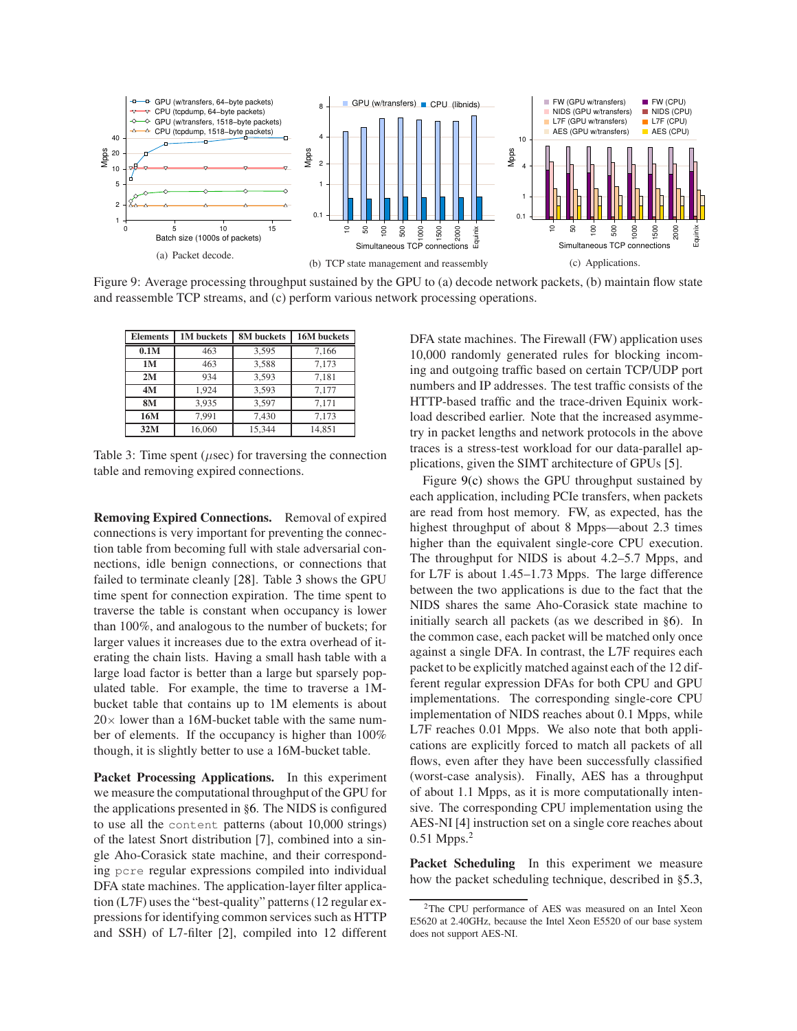<span id="page-8-1"></span><span id="page-8-0"></span>

Figure 9: Average processing throughput sustained by the GPU to (a) decode network packets, (b) maintain flow state and reassemble TCP streams, and (c) perform various network processing operations.

| <b>Elements</b> | 1M buckets | 8M buckets | 16M buckets |
|-----------------|------------|------------|-------------|
| 0.1M            | 463        | 3,595      | 7,166       |
| 1M              | 463        | 3,588      | 7.173       |
| 2M              | 934        | 3.593      | 7.181       |
| 4M              | 1.924      | 3.593      | 7.177       |
| <b>8M</b>       | 3,935      | 3.597      | 7.171       |
| 16M             | 7.991      | 7.430      | 7.173       |
| 32M             | 16.060     | 15.344     | 14,851      |

<span id="page-8-2"></span>Table 3: Time spent ( $\mu$ sec) for traversing the connection table and removing expired connections.

Removing Expired Connections. Removal of expired connections is very important for preventing the connection table from becoming full with stale adversarial connections, idle benign connections, or connections that failed to terminate cleanly [\[28\]](#page-11-7). Table [3](#page-8-2) shows the GPU time spent for connection expiration. The time spent to traverse the table is constant when occupancy is lower than 100%, and analogous to the number of buckets; for larger values it increases due to the extra overhead of iterating the chain lists. Having a small hash table with a large load factor is better than a large but sparsely populated table. For example, the time to traverse a 1Mbucket table that contains up to 1M elements is about  $20\times$  lower than a 16M-bucket table with the same number of elements. If the occupancy is higher than 100% though, it is slightly better to use a 16M-bucket table.

Packet Processing Applications. In this experiment we measure the computational throughput of the GPU for the applications presented in §[6.](#page-6-0) The NIDS is configured to use all the content patterns (about 10,000 strings) of the latest Snort distribution [\[7\]](#page-11-9), combined into a single Aho-Corasick state machine, and their corresponding pcre regular expressions compiled into individual DFA state machines. The application-layer filter application (L7F) uses the "best-quality" patterns (12 regular expressions for identifying common services such as HTTP and SSH) of L7-filter [\[2\]](#page-11-14), compiled into 12 different <span id="page-8-3"></span>DFA state machines. The Firewall (FW) application uses 10,000 randomly generated rules for blocking incoming and outgoing traffic based on certain TCP/UDP port numbers and IP addresses. The test traffic consists of the HTTP-based traffic and the trace-driven Equinix workload described earlier. Note that the increased asymmetry in packet lengths and network protocols in the above traces is a stress-test workload for our data-parallel applications, given the SIMT architecture of GPUs [\[5\]](#page-11-10).

Figure [9\(c\)](#page-8-3) shows the GPU throughput sustained by each application, including PCIe transfers, when packets are read from host memory. FW, as expected, has the highest throughput of about 8 Mpps—about 2.3 times higher than the equivalent single-core CPU execution. The throughput for NIDS is about 4.2–5.7 Mpps, and for L7F is about 1.45–1.73 Mpps. The large difference between the two applications is due to the fact that the NIDS shares the same Aho-Corasick state machine to initially search all packets (as we described in §[6\)](#page-6-0). In the common case, each packet will be matched only once against a single DFA. In contrast, the L7F requires each packet to be explicitly matched against each of the 12 different regular expression DFAs for both CPU and GPU implementations. The corresponding single-core CPU implementation of NIDS reaches about 0.1 Mpps, while L7F reaches 0.01 Mpps. We also note that both applications are explicitly forced to match all packets of all flows, even after they have been successfully classified (worst-case analysis). Finally, AES has a throughput of about 1.1 Mpps, as it is more computationally intensive. The corresponding CPU implementation using the AES-NI [\[4\]](#page-11-17) instruction set on a single core reaches about 0.51 Mpps.<sup>[2](#page-8-4)</sup>

Packet Scheduling In this experiment we measure how the packet scheduling technique, described in §[5.3,](#page-5-0)

<span id="page-8-4"></span><sup>2</sup>The CPU performance of AES was measured on an Intel Xeon E5620 at 2.40GHz, because the Intel Xeon E5520 of our base system does not support AES-NI.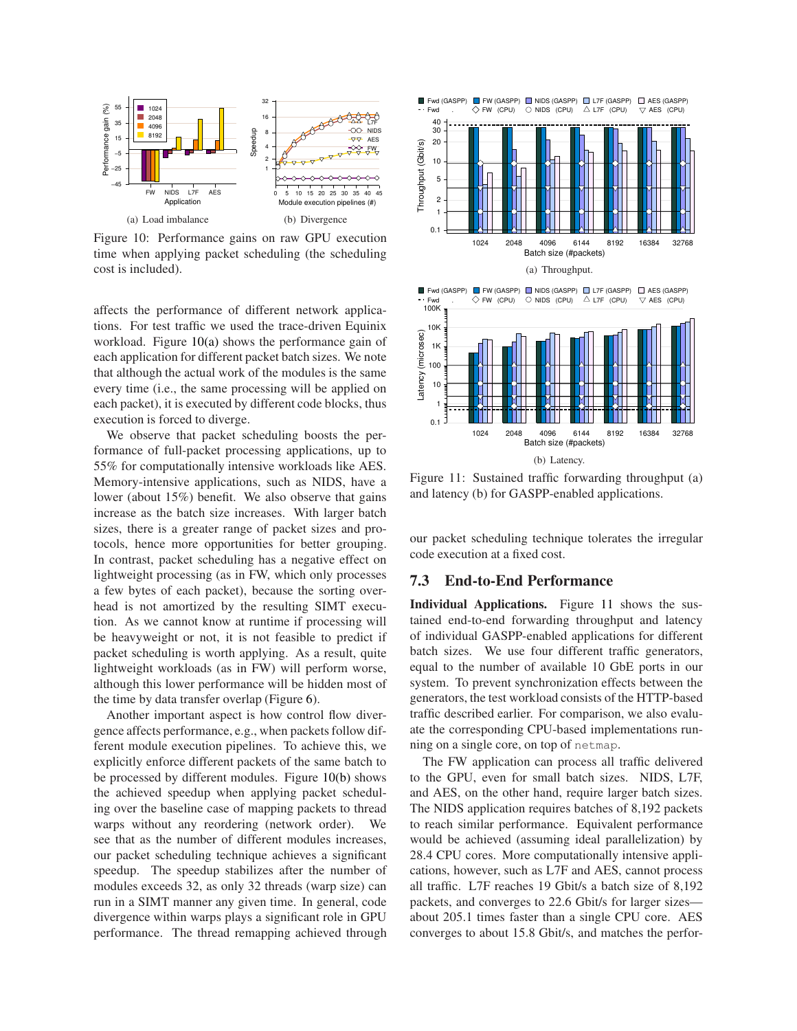<span id="page-9-1"></span><span id="page-9-0"></span>

Figure 10: Performance gains on raw GPU execution time when applying packet scheduling (the scheduling cost is included).

affects the performance of different network applications. For test traffic we used the trace-driven Equinix workload. Figure [10\(a\)](#page-9-0) shows the performance gain of each application for different packet batch sizes. We note that although the actual work of the modules is the same every time (i.e., the same processing will be applied on each packet), it is executed by different code blocks, thus execution is forced to diverge.

We observe that packet scheduling boosts the performance of full-packet processing applications, up to 55% for computationally intensive workloads like AES. Memory-intensive applications, such as NIDS, have a lower (about 15%) benefit. We also observe that gains increase as the batch size increases. With larger batch sizes, there is a greater range of packet sizes and protocols, hence more opportunities for better grouping. In contrast, packet scheduling has a negative effect on lightweight processing (as in FW, which only processes a few bytes of each packet), because the sorting overhead is not amortized by the resulting SIMT execution. As we cannot know at runtime if processing will be heavyweight or not, it is not feasible to predict if packet scheduling is worth applying. As a result, quite lightweight workloads (as in FW) will perform worse, although this lower performance will be hidden most of the time by data transfer overlap (Figure [6\)](#page-5-1).

Another important aspect is how control flow divergence affects performance, e.g., when packets follow different module execution pipelines. To achieve this, we explicitly enforce different packets of the same batch to be processed by different modules. Figure [10\(b\)](#page-9-1) shows the achieved speedup when applying packet scheduling over the baseline case of mapping packets to thread warps without any reordering (network order). We see that as the number of different modules increases, our packet scheduling technique achieves a significant speedup. The speedup stabilizes after the number of modules exceeds 32, as only 32 threads (warp size) can run in a SIMT manner any given time. In general, code divergence within warps plays a significant role in GPU performance. The thread remapping achieved through

<span id="page-9-4"></span><span id="page-9-3"></span>

<span id="page-9-2"></span>Figure 11: Sustained traffic forwarding throughput (a) and latency (b) for GASPP-enabled applications.

our packet scheduling technique tolerates the irregular code execution at a fixed cost.

### 7.3 End-to-End Performance

Individual Applications. Figure [11](#page-9-2) shows the sustained end-to-end forwarding throughput and latency of individual GASPP-enabled applications for different batch sizes. We use four different traffic generators, equal to the number of available 10 GbE ports in our system. To prevent synchronization effects between the generators, the test workload consists of the HTTP-based traffic described earlier. For comparison, we also evaluate the corresponding CPU-based implementations running on a single core, on top of netmap.

The FW application can process all traffic delivered to the GPU, even for small batch sizes. NIDS, L7F, and AES, on the other hand, require larger batch sizes. The NIDS application requires batches of 8,192 packets to reach similar performance. Equivalent performance would be achieved (assuming ideal parallelization) by 28.4 CPU cores. More computationally intensive applications, however, such as L7F and AES, cannot process all traffic. L7F reaches 19 Gbit/s a batch size of 8,192 packets, and converges to 22.6 Gbit/s for larger sizes about 205.1 times faster than a single CPU core. AES converges to about 15.8 Gbit/s, and matches the perfor-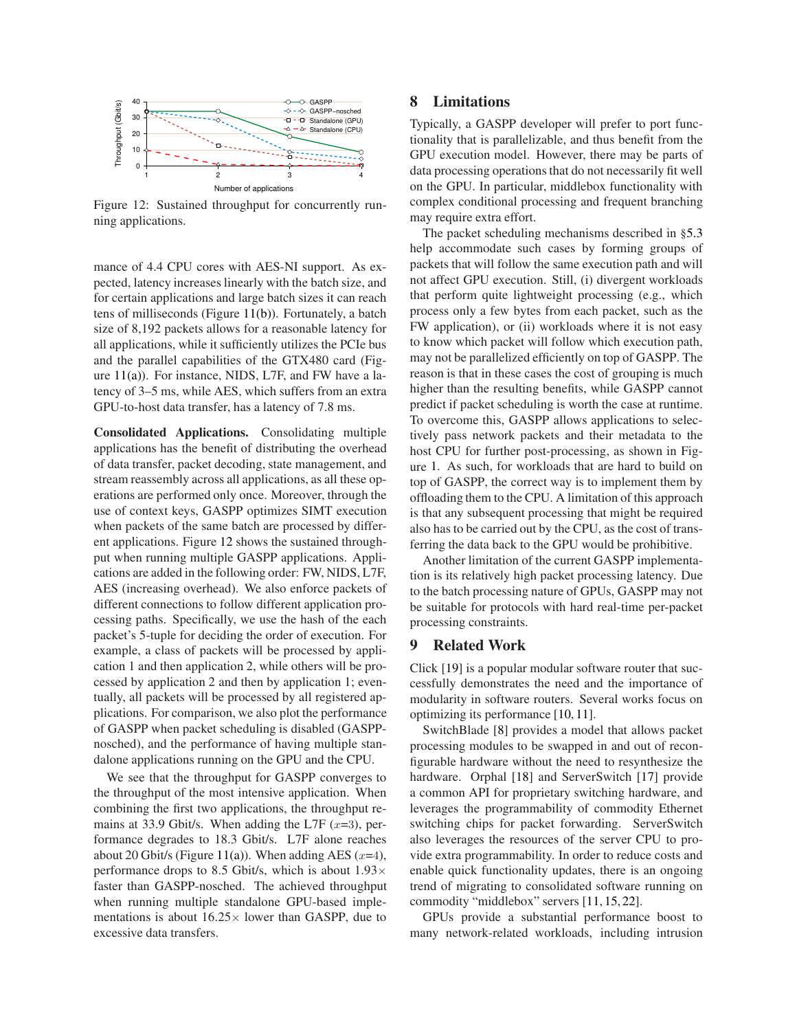

<span id="page-10-0"></span>Figure 12: Sustained throughput for concurrently running applications.

mance of 4.4 CPU cores with AES-NI support. As expected, latency increases linearly with the batch size, and for certain applications and large batch sizes it can reach tens of milliseconds (Figure [11\(b\)\)](#page-9-3). Fortunately, a batch size of 8,192 packets allows for a reasonable latency for all applications, while it sufficiently utilizes the PCIe bus and the parallel capabilities of the GTX480 card (Figure [11\(a\)\)](#page-9-4). For instance, NIDS, L7F, and FW have a latency of 3–5 ms, while AES, which suffers from an extra GPU-to-host data transfer, has a latency of 7.8 ms.

Consolidated Applications. Consolidating multiple applications has the benefit of distributing the overhead of data transfer, packet decoding, state management, and stream reassembly across all applications, as all these operations are performed only once. Moreover, through the use of context keys, GASPP optimizes SIMT execution when packets of the same batch are processed by different applications. Figure [12](#page-10-0) shows the sustained throughput when running multiple GASPP applications. Applications are added in the following order: FW, NIDS, L7F, AES (increasing overhead). We also enforce packets of different connections to follow different application processing paths. Specifically, we use the hash of the each packet's 5-tuple for deciding the order of execution. For example, a class of packets will be processed by application 1 and then application 2, while others will be processed by application 2 and then by application 1; eventually, all packets will be processed by all registered applications. For comparison, we also plot the performance of GASPP when packet scheduling is disabled (GASPPnosched), and the performance of having multiple standalone applications running on the GPU and the CPU.

We see that the throughput for GASPP converges to the throughput of the most intensive application. When combining the first two applications, the throughput remains at 33.9 Gbit/s. When adding the L7F  $(x=3)$ , performance degrades to 18.3 Gbit/s. L7F alone reaches about 20 Gbit/s (Figure [11\(a\)\)](#page-9-4). When adding AES  $(x=4)$ , performance drops to 8.5 Gbit/s, which is about  $1.93 \times$ faster than GASPP-nosched. The achieved throughput when running multiple standalone GPU-based implementations is about  $16.25 \times$  lower than GASPP, due to excessive data transfers.

# 8 Limitations

Typically, a GASPP developer will prefer to port functionality that is parallelizable, and thus benefit from the GPU execution model. However, there may be parts of data processing operations that do not necessarily fit well on the GPU. In particular, middlebox functionality with complex conditional processing and frequent branching may require extra effort.

The packet scheduling mechanisms described in §[5.3](#page-5-0) help accommodate such cases by forming groups of packets that will follow the same execution path and will not affect GPU execution. Still, (i) divergent workloads that perform quite lightweight processing (e.g., which process only a few bytes from each packet, such as the FW application), or (ii) workloads where it is not easy to know which packet will follow which execution path, may not be parallelized efficiently on top of GASPP. The reason is that in these cases the cost of grouping is much higher than the resulting benefits, while GASPP cannot predict if packet scheduling is worth the case at runtime. To overcome this, GASPP allows applications to selectively pass network packets and their metadata to the host CPU for further post-processing, as shown in Figure [1.](#page-1-0) As such, for workloads that are hard to build on top of GASPP, the correct way is to implement them by offloading them to the CPU. A limitation of this approach is that any subsequent processing that might be required also has to be carried out by the CPU, as the cost of transferring the data back to the GPU would be prohibitive.

Another limitation of the current GASPP implementation is its relatively high packet processing latency. Due to the batch processing nature of GPUs, GASPP may not be suitable for protocols with hard real-time per-packet processing constraints.

#### 9 Related Work

Click [\[19\]](#page-11-18) is a popular modular software router that successfully demonstrates the need and the importance of modularity in software routers. Several works focus on optimizing its performance [\[10,](#page-11-0) [11\]](#page-11-19).

SwitchBlade [\[8\]](#page-11-20) provides a model that allows packet processing modules to be swapped in and out of reconfigurable hardware without the need to resynthesize the hardware. Orphal [\[18\]](#page-11-21) and ServerSwitch [\[17\]](#page-11-22) provide a common API for proprietary switching hardware, and leverages the programmability of commodity Ethernet switching chips for packet forwarding. ServerSwitch also leverages the resources of the server CPU to provide extra programmability. In order to reduce costs and enable quick functionality updates, there is an ongoing trend of migrating to consolidated software running on commodity "middlebox" servers [\[11,](#page-11-19) [15,](#page-11-23) [22\]](#page-11-24).

GPUs provide a substantial performance boost to many network-related workloads, including intrusion